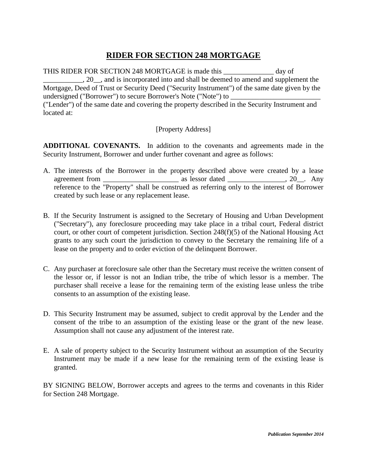## **RIDER FOR SECTION 248 MORTGAGE**

THIS RIDER FOR SECTION 248 MORTGAGE is made this \_\_\_\_\_\_\_\_\_\_\_\_\_\_ day of \_\_\_\_\_\_\_\_\_\_\_, 20\_\_, and is incorporated into and shall be deemed to amend and supplement the Mortgage, Deed of Trust or Security Deed ("Security Instrument") of the same date given by the undersigned ("Borrower") to secure Borrower's Note ("Note") to ("Lender") of the same date and covering the property described in the Security Instrument and located at:

## [Property Address]

**ADDITIONAL COVENANTS.** In addition to the covenants and agreements made in the Security Instrument, Borrower and under further covenant and agree as follows:

- A. The interests of the Borrower in the property described above were created by a lease agreement from \_\_\_\_\_\_\_\_\_\_\_\_\_\_\_\_\_\_\_\_\_ as lessor dated \_\_\_\_\_\_\_\_\_\_\_\_\_\_\_\_, 20\_\_. Any reference to the "Property" shall be construed as referring only to the interest of Borrower created by such lease or any replacement lease.
- B. If the Security Instrument is assigned to the Secretary of Housing and Urban Development ("Secretary"), any foreclosure proceeding may take place in a tribal court, Federal district court, or other court of competent jurisdiction. Section 248(f)(5) of the National Housing Act grants to any such court the jurisdiction to convey to the Secretary the remaining life of a lease on the property and to order eviction of the delinquent Borrower.
- C. Any purchaser at foreclosure sale other than the Secretary must receive the written consent of the lessor or, if lessor is not an Indian tribe, the tribe of which lessor is a member. The purchaser shall receive a lease for the remaining term of the existing lease unless the tribe consents to an assumption of the existing lease.
- D. This Security Instrument may be assumed, subject to credit approval by the Lender and the consent of the tribe to an assumption of the existing lease or the grant of the new lease. Assumption shall not cause any adjustment of the interest rate.
- E. A sale of property subject to the Security Instrument without an assumption of the Security Instrument may be made if a new lease for the remaining term of the existing lease is granted.

BY SIGNING BELOW, Borrower accepts and agrees to the terms and covenants in this Rider for Section 248 Mortgage.